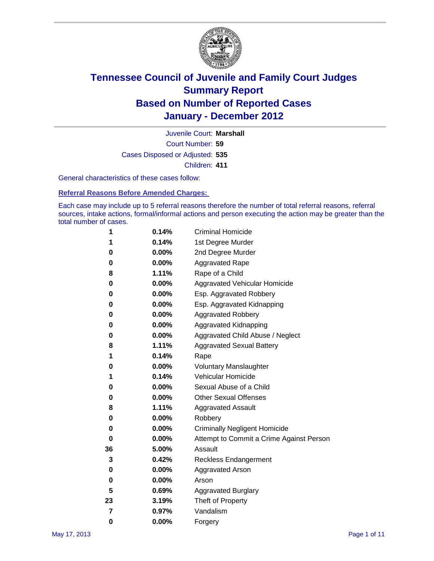

Court Number: **59** Juvenile Court: **Marshall** Cases Disposed or Adjusted: **535** Children: **411**

General characteristics of these cases follow:

**Referral Reasons Before Amended Charges:** 

Each case may include up to 5 referral reasons therefore the number of total referral reasons, referral sources, intake actions, formal/informal actions and person executing the action may be greater than the total number of cases.

| 1  | 0.14%    | <b>Criminal Homicide</b>                 |
|----|----------|------------------------------------------|
| 1  | 0.14%    | 1st Degree Murder                        |
| 0  | 0.00%    | 2nd Degree Murder                        |
| 0  | 0.00%    | <b>Aggravated Rape</b>                   |
| 8  | 1.11%    | Rape of a Child                          |
| 0  | 0.00%    | Aggravated Vehicular Homicide            |
| 0  | 0.00%    | Esp. Aggravated Robbery                  |
| 0  | 0.00%    | Esp. Aggravated Kidnapping               |
| 0  | 0.00%    | <b>Aggravated Robbery</b>                |
| 0  | 0.00%    | Aggravated Kidnapping                    |
| 0  | 0.00%    | Aggravated Child Abuse / Neglect         |
| 8  | 1.11%    | <b>Aggravated Sexual Battery</b>         |
| 1  | 0.14%    | Rape                                     |
| 0  | $0.00\%$ | <b>Voluntary Manslaughter</b>            |
| 1  | 0.14%    | Vehicular Homicide                       |
| 0  | 0.00%    | Sexual Abuse of a Child                  |
| 0  | 0.00%    | <b>Other Sexual Offenses</b>             |
| 8  | 1.11%    | <b>Aggravated Assault</b>                |
| 0  | $0.00\%$ | Robbery                                  |
| 0  | 0.00%    | <b>Criminally Negligent Homicide</b>     |
| 0  | 0.00%    | Attempt to Commit a Crime Against Person |
| 36 | 5.00%    | Assault                                  |
| 3  | 0.42%    | <b>Reckless Endangerment</b>             |
| 0  | 0.00%    | <b>Aggravated Arson</b>                  |
| 0  | 0.00%    | Arson                                    |
| 5  | 0.69%    | <b>Aggravated Burglary</b>               |
| 23 | 3.19%    | Theft of Property                        |
| 7  | 0.97%    | Vandalism                                |
| 0  | 0.00%    | Forgery                                  |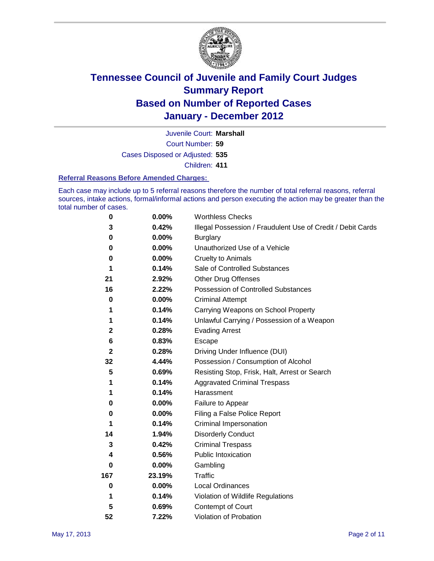

Court Number: **59** Juvenile Court: **Marshall** Cases Disposed or Adjusted: **535**

Children: **411**

#### **Referral Reasons Before Amended Charges:**

Each case may include up to 5 referral reasons therefore the number of total referral reasons, referral sources, intake actions, formal/informal actions and person executing the action may be greater than the total number of cases.

| $\pmb{0}$    | 0.00%    | <b>Worthless Checks</b>                                     |
|--------------|----------|-------------------------------------------------------------|
| 3            | 0.42%    | Illegal Possession / Fraudulent Use of Credit / Debit Cards |
| 0            | 0.00%    | <b>Burglary</b>                                             |
| $\bf{0}$     | $0.00\%$ | Unauthorized Use of a Vehicle                               |
| 0            | $0.00\%$ | <b>Cruelty to Animals</b>                                   |
| 1            | 0.14%    | Sale of Controlled Substances                               |
| 21           | 2.92%    | <b>Other Drug Offenses</b>                                  |
| 16           | 2.22%    | Possession of Controlled Substances                         |
| $\mathbf 0$  | $0.00\%$ | <b>Criminal Attempt</b>                                     |
| 1            | 0.14%    | Carrying Weapons on School Property                         |
| 1            | 0.14%    | Unlawful Carrying / Possession of a Weapon                  |
| 2            | 0.28%    | <b>Evading Arrest</b>                                       |
| 6            | 0.83%    | Escape                                                      |
| $\mathbf{2}$ | 0.28%    | Driving Under Influence (DUI)                               |
| 32           | 4.44%    | Possession / Consumption of Alcohol                         |
| 5            | 0.69%    | Resisting Stop, Frisk, Halt, Arrest or Search               |
| 1            | 0.14%    | <b>Aggravated Criminal Trespass</b>                         |
| 1            | 0.14%    | Harassment                                                  |
| 0            | 0.00%    | Failure to Appear                                           |
| 0            | $0.00\%$ | Filing a False Police Report                                |
| 1            | 0.14%    | Criminal Impersonation                                      |
| 14           | 1.94%    | <b>Disorderly Conduct</b>                                   |
| 3            | 0.42%    | <b>Criminal Trespass</b>                                    |
| 4            | 0.56%    | Public Intoxication                                         |
| 0            | $0.00\%$ | Gambling                                                    |
| 167          | 23.19%   | <b>Traffic</b>                                              |
| 0            | $0.00\%$ | Local Ordinances                                            |
| 1            | 0.14%    | Violation of Wildlife Regulations                           |
| 5            | 0.69%    | Contempt of Court                                           |
| 52           | 7.22%    | Violation of Probation                                      |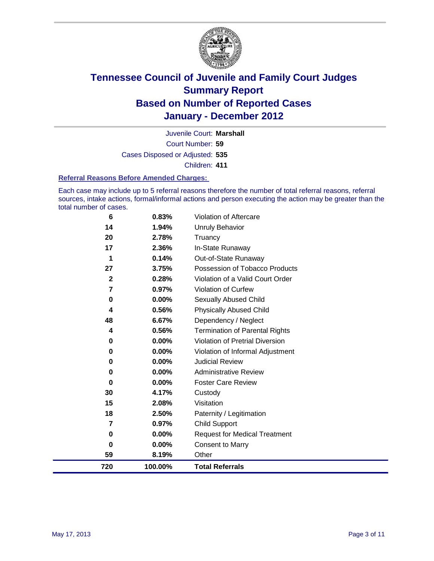

Court Number: **59** Juvenile Court: **Marshall** Cases Disposed or Adjusted: **535** Children: **411**

#### **Referral Reasons Before Amended Charges:**

Each case may include up to 5 referral reasons therefore the number of total referral reasons, referral sources, intake actions, formal/informal actions and person executing the action may be greater than the total number of cases.

| 720 | 100.00% | <b>Total Referrals</b>                 |
|-----|---------|----------------------------------------|
| 59  | 8.19%   | Other                                  |
| 0   | 0.00%   | <b>Consent to Marry</b>                |
| 0   | 0.00%   | <b>Request for Medical Treatment</b>   |
| 7   | 0.97%   | <b>Child Support</b>                   |
| 18  | 2.50%   | Paternity / Legitimation               |
| 15  | 2.08%   | Visitation                             |
| 30  | 4.17%   | Custody                                |
| 0   | 0.00%   | <b>Foster Care Review</b>              |
| 0   | 0.00%   | <b>Administrative Review</b>           |
| 0   | 0.00%   | <b>Judicial Review</b>                 |
| 0   | 0.00%   | Violation of Informal Adjustment       |
| 0   | 0.00%   | <b>Violation of Pretrial Diversion</b> |
| 4   | 0.56%   | <b>Termination of Parental Rights</b>  |
| 48  | 6.67%   | Dependency / Neglect                   |
| 4   | 0.56%   | <b>Physically Abused Child</b>         |
| 0   | 0.00%   | <b>Sexually Abused Child</b>           |
| 7   | 0.97%   | Violation of Curfew                    |
| 2   | 0.28%   | Violation of a Valid Court Order       |
| 27  | 3.75%   | Possession of Tobacco Products         |
| 1   | 0.14%   | Out-of-State Runaway                   |
| 17  | 2.36%   | In-State Runaway                       |
| 20  | 2.78%   | Truancy                                |
| 14  | 1.94%   | <b>Unruly Behavior</b>                 |
| 6   | 0.83%   | Violation of Aftercare                 |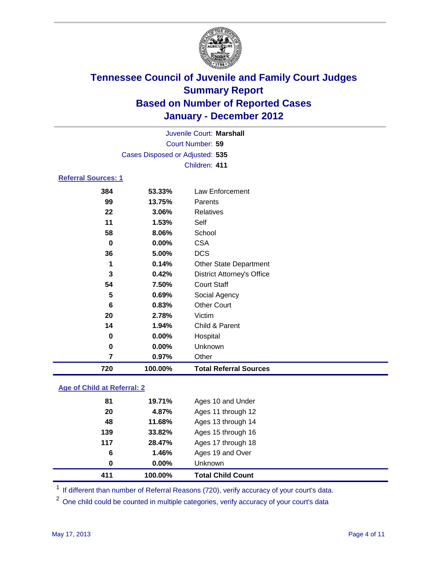

| Juvenile Court: Marshall   |                                 |                                   |  |  |  |
|----------------------------|---------------------------------|-----------------------------------|--|--|--|
| Court Number: 59           |                                 |                                   |  |  |  |
|                            | Cases Disposed or Adjusted: 535 |                                   |  |  |  |
|                            | Children: 411                   |                                   |  |  |  |
| <b>Referral Sources: 1</b> |                                 |                                   |  |  |  |
| 384                        | 53.33%                          | Law Enforcement                   |  |  |  |
| 99                         | 13.75%                          | Parents                           |  |  |  |
| 22                         | 3.06%                           | <b>Relatives</b>                  |  |  |  |
| 11                         | 1.53%                           | Self                              |  |  |  |
| 58                         | 8.06%                           | School                            |  |  |  |
| $\bf{0}$                   | $0.00\%$                        | <b>CSA</b>                        |  |  |  |
| 36                         | 5.00%                           | <b>DCS</b>                        |  |  |  |
| 1                          | 0.14%                           | <b>Other State Department</b>     |  |  |  |
| 3                          | 0.42%                           | <b>District Attorney's Office</b> |  |  |  |
| 54                         | 7.50%                           | <b>Court Staff</b>                |  |  |  |
| 5                          | 0.69%                           | Social Agency                     |  |  |  |
| 6                          | 0.83%                           | <b>Other Court</b>                |  |  |  |
| 20                         | 2.78%                           | Victim                            |  |  |  |
| 14                         | 1.94%                           | Child & Parent                    |  |  |  |
| 0                          | $0.00\%$                        | Hospital                          |  |  |  |
| 0                          | 0.00%                           | Unknown                           |  |  |  |
| 7                          | 0.97%                           | Other                             |  |  |  |
| 720                        | 100.00%                         | <b>Total Referral Sources</b>     |  |  |  |

### **Age of Child at Referral: 2**

| 411 | 100.00%       | <b>Total Child Count</b> |
|-----|---------------|--------------------------|
|     | $0.00\%$<br>0 | Unknown                  |
|     | 6<br>1.46%    | Ages 19 and Over         |
| 117 | 28.47%        | Ages 17 through 18       |
| 139 | 33.82%        | Ages 15 through 16       |
| 48  | 11.68%        | Ages 13 through 14       |
| 20  | 4.87%         | Ages 11 through 12       |
| 81  | 19.71%        | Ages 10 and Under        |
|     |               |                          |

<sup>1</sup> If different than number of Referral Reasons (720), verify accuracy of your court's data.

<sup>2</sup> One child could be counted in multiple categories, verify accuracy of your court's data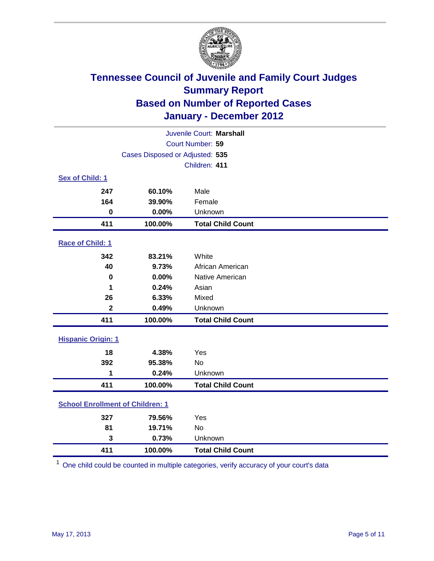

|                                         | Juvenile Court: Marshall        |                          |  |  |
|-----------------------------------------|---------------------------------|--------------------------|--|--|
|                                         | Court Number: 59                |                          |  |  |
|                                         | Cases Disposed or Adjusted: 535 |                          |  |  |
|                                         |                                 | Children: 411            |  |  |
| Sex of Child: 1                         |                                 |                          |  |  |
| 247                                     | 60.10%                          | Male                     |  |  |
| 164                                     | 39.90%                          | Female                   |  |  |
| $\mathbf 0$                             | 0.00%                           | Unknown                  |  |  |
| 411                                     | 100.00%                         | <b>Total Child Count</b> |  |  |
| Race of Child: 1                        |                                 |                          |  |  |
| 342                                     | 83.21%                          | White                    |  |  |
| 40                                      | 9.73%                           | African American         |  |  |
| $\mathbf 0$                             | 0.00%                           | Native American          |  |  |
| 1                                       | 0.24%                           | Asian                    |  |  |
| 26                                      | 6.33%                           | Mixed                    |  |  |
| $\overline{\mathbf{2}}$                 | 0.49%                           | Unknown                  |  |  |
| 411                                     | 100.00%                         | <b>Total Child Count</b> |  |  |
| <b>Hispanic Origin: 1</b>               |                                 |                          |  |  |
| 18                                      | 4.38%                           | Yes                      |  |  |
| 392                                     | 95.38%                          | <b>No</b>                |  |  |
| 1                                       | 0.24%                           | Unknown                  |  |  |
| 411                                     | 100.00%                         | <b>Total Child Count</b> |  |  |
| <b>School Enrollment of Children: 1</b> |                                 |                          |  |  |
| 327                                     | 79.56%                          | Yes                      |  |  |
| 81                                      | 19.71%                          | No                       |  |  |
| 3                                       | 0.73%                           | Unknown                  |  |  |
| 411                                     | 100.00%                         | <b>Total Child Count</b> |  |  |

One child could be counted in multiple categories, verify accuracy of your court's data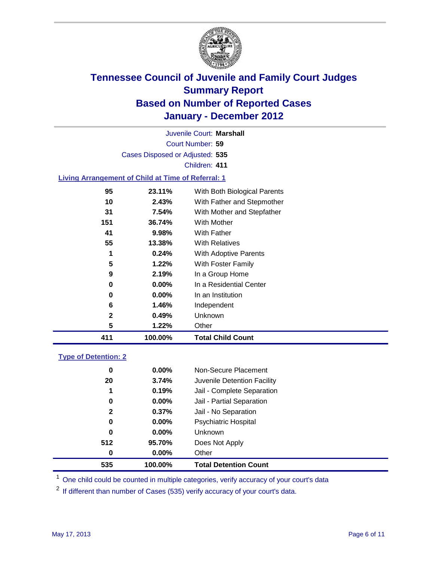

Court Number: **59** Juvenile Court: **Marshall** Cases Disposed or Adjusted: **535** Children: **411 Living Arrangement of Child at Time of Referral: 1**

| 411 | 100.00%  | <b>Total Child Count</b>     |
|-----|----------|------------------------------|
| 5   | 1.22%    | Other                        |
| 2   | 0.49%    | <b>Unknown</b>               |
| 6   | 1.46%    | Independent                  |
| 0   | $0.00\%$ | In an Institution            |
| 0   | $0.00\%$ | In a Residential Center      |
| 9   | 2.19%    | In a Group Home              |
| 5   | 1.22%    | With Foster Family           |
| 1   | 0.24%    | With Adoptive Parents        |
| 55  | 13.38%   | <b>With Relatives</b>        |
| 41  | 9.98%    | <b>With Father</b>           |
| 151 | 36.74%   | With Mother                  |
| 31  | 7.54%    | With Mother and Stepfather   |
| 10  | 2.43%    | With Father and Stepmother   |
| 95  | 23.11%   | With Both Biological Parents |

### **Type of Detention: 2**

| 535          | 100.00%  | <b>Total Detention Count</b> |
|--------------|----------|------------------------------|
| 0            | $0.00\%$ | Other                        |
| 512          | 95.70%   | Does Not Apply               |
| 0            | $0.00\%$ | Unknown                      |
| 0            | $0.00\%$ | Psychiatric Hospital         |
| $\mathbf{2}$ | 0.37%    | Jail - No Separation         |
| 0            | $0.00\%$ | Jail - Partial Separation    |
| 1            | 0.19%    | Jail - Complete Separation   |
| 20           | 3.74%    | Juvenile Detention Facility  |
| 0            | $0.00\%$ | Non-Secure Placement         |
|              |          |                              |

<sup>1</sup> One child could be counted in multiple categories, verify accuracy of your court's data

<sup>2</sup> If different than number of Cases (535) verify accuracy of your court's data.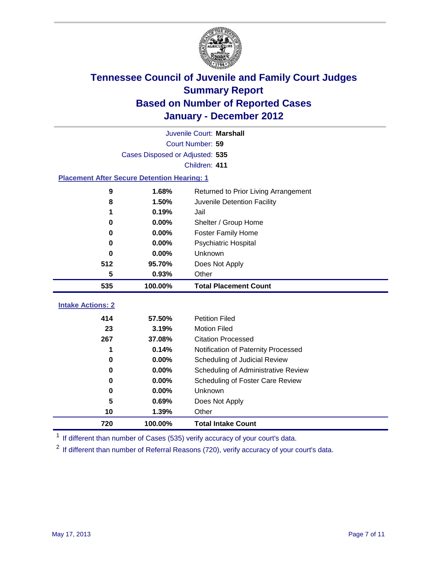

|                          | Juvenile Court: Marshall                           |                                      |  |  |  |
|--------------------------|----------------------------------------------------|--------------------------------------|--|--|--|
|                          | Court Number: 59                                   |                                      |  |  |  |
|                          | Cases Disposed or Adjusted: 535                    |                                      |  |  |  |
|                          |                                                    | Children: 411                        |  |  |  |
|                          | <b>Placement After Secure Detention Hearing: 1</b> |                                      |  |  |  |
| $\boldsymbol{9}$         | 1.68%                                              | Returned to Prior Living Arrangement |  |  |  |
| 8                        | 1.50%                                              | Juvenile Detention Facility          |  |  |  |
| 1                        | 0.19%                                              | Jail                                 |  |  |  |
| 0                        | 0.00%                                              | Shelter / Group Home                 |  |  |  |
| 0                        | 0.00%                                              | <b>Foster Family Home</b>            |  |  |  |
| 0                        | 0.00%                                              | Psychiatric Hospital                 |  |  |  |
| 0                        | 0.00%                                              | Unknown                              |  |  |  |
| 512                      | 95.70%                                             | Does Not Apply                       |  |  |  |
| 5                        | 0.93%                                              | Other                                |  |  |  |
| 535                      | 100.00%                                            | <b>Total Placement Count</b>         |  |  |  |
| <b>Intake Actions: 2</b> |                                                    |                                      |  |  |  |
| 414                      | 57.50%                                             | <b>Petition Filed</b>                |  |  |  |
| 23                       | 3.19%                                              | <b>Motion Filed</b>                  |  |  |  |
| 267                      | 37.08%                                             | <b>Citation Processed</b>            |  |  |  |
| 1                        | 0.14%                                              | Notification of Paternity Processed  |  |  |  |
| $\mathbf 0$              | 0.00%                                              | Scheduling of Judicial Review        |  |  |  |
| 0                        | 0.00%                                              | Scheduling of Administrative Review  |  |  |  |
| 0                        | 0.00%                                              | Scheduling of Foster Care Review     |  |  |  |
| $\bf{0}$                 | 0.00%                                              | Unknown                              |  |  |  |
| 5                        | 0.69%                                              | Does Not Apply                       |  |  |  |
| 10                       | 1.39%                                              | Other                                |  |  |  |
| 720                      | 100.00%                                            | <b>Total Intake Count</b>            |  |  |  |
|                          |                                                    |                                      |  |  |  |

<sup>1</sup> If different than number of Cases (535) verify accuracy of your court's data.

<sup>2</sup> If different than number of Referral Reasons (720), verify accuracy of your court's data.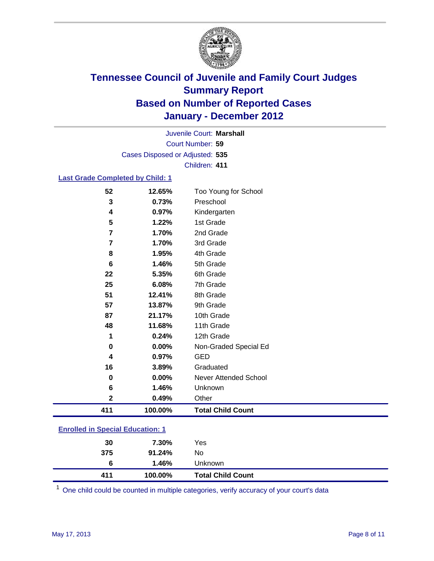

Court Number: **59** Juvenile Court: **Marshall** Cases Disposed or Adjusted: **535** Children: **411**

### **Last Grade Completed by Child: 1**

| 52                                      | 12.65%  | Too Young for School         |  |
|-----------------------------------------|---------|------------------------------|--|
| 3                                       | 0.73%   | Preschool                    |  |
| 4                                       | 0.97%   | Kindergarten                 |  |
| 5                                       | 1.22%   | 1st Grade                    |  |
| $\overline{7}$                          | 1.70%   | 2nd Grade                    |  |
| 7                                       | 1.70%   | 3rd Grade                    |  |
| 8                                       | 1.95%   | 4th Grade                    |  |
| 6                                       | 1.46%   | 5th Grade                    |  |
| 22                                      | 5.35%   | 6th Grade                    |  |
| 25                                      | 6.08%   | 7th Grade                    |  |
| 51                                      | 12.41%  | 8th Grade                    |  |
| 57                                      | 13.87%  | 9th Grade                    |  |
| 87                                      | 21.17%  | 10th Grade                   |  |
| 48                                      | 11.68%  | 11th Grade                   |  |
| 1                                       | 0.24%   | 12th Grade                   |  |
| 0                                       | 0.00%   | Non-Graded Special Ed        |  |
| 4                                       | 0.97%   | <b>GED</b>                   |  |
| 16                                      | 3.89%   | Graduated                    |  |
| 0                                       | 0.00%   | <b>Never Attended School</b> |  |
| 6                                       | 1.46%   | Unknown                      |  |
| $\mathbf 2$                             | 0.49%   | Other                        |  |
| 411                                     | 100.00% | <b>Total Child Count</b>     |  |
| <b>Enrolled in Special Education: 1</b> |         |                              |  |

| 411                                | 100.00% | <b>Total Child Count</b> |  |
|------------------------------------|---------|--------------------------|--|
| 6                                  | 1.46%   | Unknown                  |  |
| 375                                | 91.24%  | No                       |  |
| 30                                 | 7.30%   | Yes                      |  |
| __________________________________ |         |                          |  |

One child could be counted in multiple categories, verify accuracy of your court's data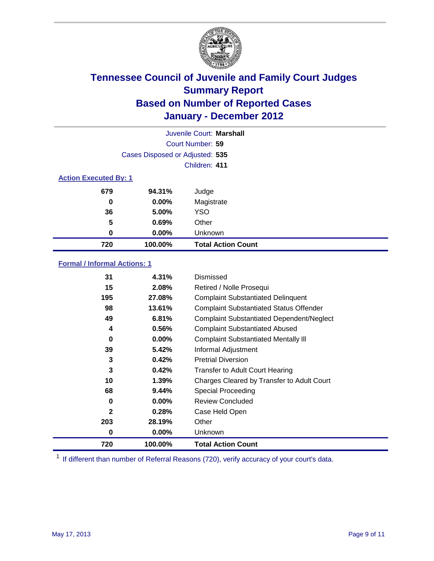

| Juvenile Court: Marshall     |                                 |                           |  |  |
|------------------------------|---------------------------------|---------------------------|--|--|
|                              | Court Number: 59                |                           |  |  |
|                              | Cases Disposed or Adjusted: 535 |                           |  |  |
|                              | Children: 411                   |                           |  |  |
| <b>Action Executed By: 1</b> |                                 |                           |  |  |
| 679                          | 94.31%                          | Judge                     |  |  |
| 0                            | $0.00\%$                        | Magistrate                |  |  |
| 36                           | 5.00%                           | <b>YSO</b>                |  |  |
| 5                            | 0.69%                           | Other                     |  |  |
| 0                            | 0.00%                           | Unknown                   |  |  |
| 720                          | 100.00%                         | <b>Total Action Count</b> |  |  |

### **Formal / Informal Actions: 1**

| 31           | 4.31%    | Dismissed                                        |
|--------------|----------|--------------------------------------------------|
| 15           | 2.08%    | Retired / Nolle Prosequi                         |
| 195          | 27.08%   | <b>Complaint Substantiated Delinquent</b>        |
| 98           | 13.61%   | <b>Complaint Substantiated Status Offender</b>   |
| 49           | 6.81%    | <b>Complaint Substantiated Dependent/Neglect</b> |
| 4            | 0.56%    | <b>Complaint Substantiated Abused</b>            |
| 0            | $0.00\%$ | <b>Complaint Substantiated Mentally III</b>      |
| 39           | 5.42%    | Informal Adjustment                              |
| 3            | 0.42%    | <b>Pretrial Diversion</b>                        |
| 3            | 0.42%    | <b>Transfer to Adult Court Hearing</b>           |
| 10           | $1.39\%$ | Charges Cleared by Transfer to Adult Court       |
| 68           | 9.44%    | Special Proceeding                               |
| 0            | $0.00\%$ | <b>Review Concluded</b>                          |
| $\mathbf{2}$ | 0.28%    | Case Held Open                                   |
| 203          | 28.19%   | Other                                            |
| 0            | $0.00\%$ | Unknown                                          |
| 720          | 100.00%  | <b>Total Action Count</b>                        |

<sup>1</sup> If different than number of Referral Reasons (720), verify accuracy of your court's data.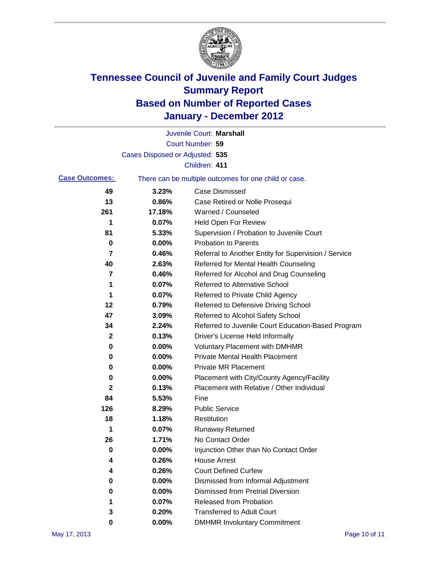

|                       |                                 | Juvenile Court: Marshall                              |
|-----------------------|---------------------------------|-------------------------------------------------------|
|                       |                                 | Court Number: 59                                      |
|                       | Cases Disposed or Adjusted: 535 |                                                       |
|                       |                                 | Children: 411                                         |
| <b>Case Outcomes:</b> |                                 | There can be multiple outcomes for one child or case. |
| 49                    | 3.23%                           | <b>Case Dismissed</b>                                 |
| 13                    | 0.86%                           | Case Retired or Nolle Prosequi                        |
| 261                   | 17.18%                          | Warned / Counseled                                    |
| 1                     | 0.07%                           | <b>Held Open For Review</b>                           |
| 81                    | 5.33%                           | Supervision / Probation to Juvenile Court             |
| 0                     | 0.00%                           | <b>Probation to Parents</b>                           |
| 7                     | 0.46%                           | Referral to Another Entity for Supervision / Service  |
| 40                    | 2.63%                           | Referred for Mental Health Counseling                 |
| 7                     | 0.46%                           | Referred for Alcohol and Drug Counseling              |
| 1                     | 0.07%                           | <b>Referred to Alternative School</b>                 |
| 1                     | 0.07%                           | Referred to Private Child Agency                      |
| 12                    | 0.79%                           | Referred to Defensive Driving School                  |
| 47                    | 3.09%                           | Referred to Alcohol Safety School                     |
| 34                    | 2.24%                           | Referred to Juvenile Court Education-Based Program    |
| 2                     | 0.13%                           | Driver's License Held Informally                      |
| 0                     | 0.00%                           | <b>Voluntary Placement with DMHMR</b>                 |
| 0                     | 0.00%                           | <b>Private Mental Health Placement</b>                |
| 0                     | 0.00%                           | <b>Private MR Placement</b>                           |
| 0                     | 0.00%                           | Placement with City/County Agency/Facility            |
| $\mathbf{2}$          | 0.13%                           | Placement with Relative / Other Individual            |
| 84                    | 5.53%                           | Fine                                                  |
| 126                   | 8.29%                           | <b>Public Service</b>                                 |
| 18                    | 1.18%                           | Restitution                                           |
| 1                     | 0.07%                           | <b>Runaway Returned</b>                               |
| 26                    | 1.71%                           | No Contact Order                                      |
| 0                     | 0.00%                           | Injunction Other than No Contact Order                |
|                       | 0.26%                           | <b>House Arrest</b>                                   |
| 4                     | 0.26%                           | <b>Court Defined Curfew</b>                           |
| 0                     | 0.00%                           | Dismissed from Informal Adjustment                    |
| 0                     | 0.00%                           | <b>Dismissed from Pretrial Diversion</b>              |
| 1                     | 0.07%                           | Released from Probation                               |
| 3                     | 0.20%                           | <b>Transferred to Adult Court</b>                     |
| 0                     | $0.00\%$                        | <b>DMHMR Involuntary Commitment</b>                   |